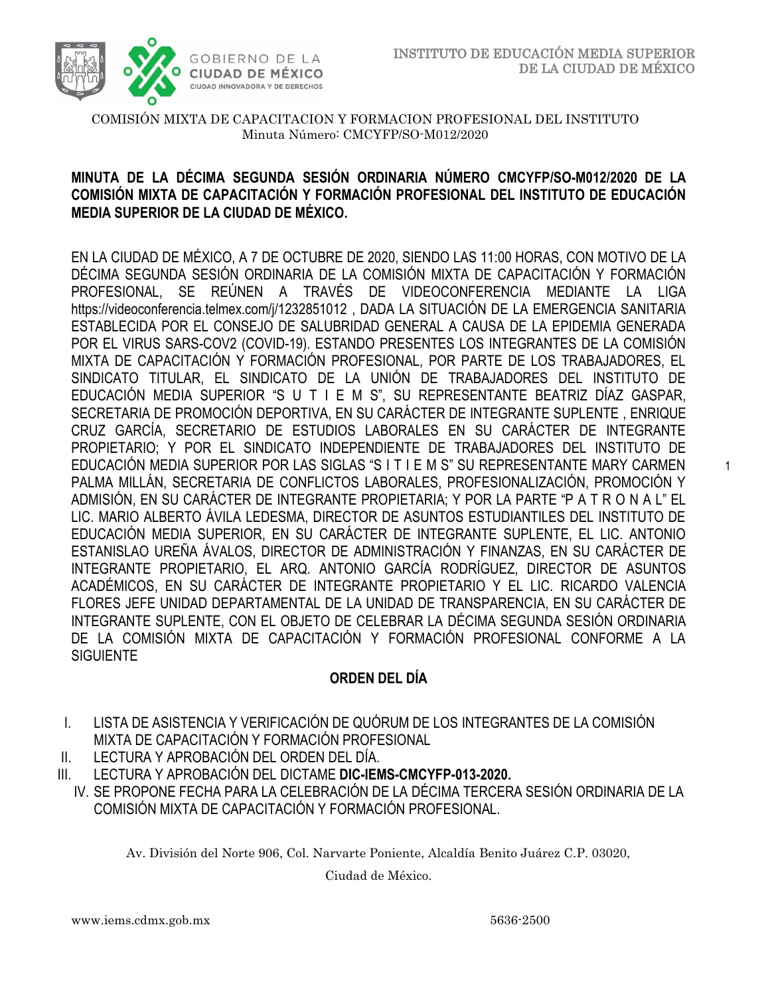1



#### COMISIÓN MIXTA DE CAPACITACION Y FORMACION PROFESIONAL DEL INSTITUTO Minuta Número: CMCYFP/SO-M012/2020

# **MINUTA DE LA DÉCIMA SEGUNDA SESIÓN ORDINARIA NÚMERO CMCYFP/SO-M012/2020 DE LA COMISIÓN MIXTA DE CAPACITACIÓN Y FORMACIÓN PROFESIONAL DEL INSTITUTO DE EDUCACIÓN MEDIA SUPERIOR DE LA CIUDAD DE MÉXICO.**

EN LA CIUDAD DE MÉXICO, A 7 DE OCTUBRE DE 2020, SIENDO LAS 11:00 HORAS, CON MOTIVO DE LA DÉCIMA SEGUNDA SESIÓN ORDINARIA DE LA COMISIÓN MIXTA DE CAPACITACIÓN Y FORMACIÓN PROFESIONAL, SE REÚNEN A TRAVÉS DE VIDEOCONFERENCIA MEDIANTE LA LIGA <https://videoconferencia.telmex.com/j/1232851012> , DADA LA SITUACIÓN DE LA EMERGENCIA SANITARIA ESTABLECIDA POR EL CONSEJO DE SALUBRIDAD GENERAL A CAUSA DE LA EPIDEMIA GENERADA POR EL VIRUS SARS-COV2 (COVID-19). ESTANDO PRESENTES LOS INTEGRANTES DE LA COMISIÓN MIXTA DE CAPACITACIÓN Y FORMACIÓN PROFESIONAL, POR PARTE DE LOS TRABAJADORES, EL SINDICATO TITULAR, EL SINDICATO DE LA UNIÓN DE TRABAJADORES DEL INSTITUTO DE EDUCACIÓN MEDIA SUPERIOR "S U T I E M S", SU REPRESENTANTE BEATRIZ DÍAZ GASPAR, SECRETARIA DE PROMOCIÓN DEPORTIVA, EN SU CARÁCTER DE INTEGRANTE SUPLENTE , ENRIQUE CRUZ GARCÍA, SECRETARIO DE ESTUDIOS LABORALES EN SU CARÁCTER DE INTEGRANTE PROPIETARIO; Y POR EL SINDICATO INDEPENDIENTE DE TRABAJADORES DEL INSTITUTO DE EDUCACIÓN MEDIA SUPERIOR POR LAS SIGLAS "S I T I E M S" SU REPRESENTANTE MARY CARMEN PALMA MILLÁN, SECRETARIA DE CONFLICTOS LABORALES, PROFESIONALIZACIÓN, PROMOCIÓN Y ADMISIÓN, EN SU CARÁCTER DE INTEGRANTE PROPIETARIA; Y POR LA PARTE "P A T R O N A L" EL LIC. MARIO ALBERTO ÁVILA LEDESMA, DIRECTOR DE ASUNTOS ESTUDIANTILES DEL INSTITUTO DE EDUCACIÓN MEDIA SUPERIOR, EN SU CARÁCTER DE INTEGRANTE SUPLENTE, EL LIC. ANTONIO ESTANISLAO UREÑA ÁVALOS, DIRECTOR DE ADMINISTRACIÓN Y FINANZAS, EN SU CARÁCTER DE INTEGRANTE PROPIETARIO, EL ARQ. ANTONIO GARCÍA RODRÍGUEZ, DIRECTOR DE ASUNTOS ACADÉMICOS, EN SU CARÁCTER DE INTEGRANTE PROPIETARIO Y EL LIC. RICARDO VALENCIA FLORES JEFE UNIDAD DEPARTAMENTAL DE LA UNIDAD DE TRANSPARENCIA, EN SU CARÁCTER DE INTEGRANTE SUPLENTE, CON EL OBJETO DE CELEBRAR LA DÉCIMA SEGUNDA SESIÓN ORDINARIA DE LA COMISIÓN MIXTA DE CAPACITACIÓN Y FORMACIÓN PROFESIONAL CONFORME A LA SIGUIENTE

# **ORDEN DEL DÍA**

- I. LISTA DE ASISTENCIA Y VERIFICACIÓN DE QUÓRUM DE LOS INTEGRANTES DE LA COMISIÓN MIXTA DE CAPACITACIÓN Y FORMACIÓN PROFESIONAL
- II. LECTURA Y APROBACIÓN DEL ORDEN DEL DÍA.
- III. LECTURA Y APROBACIÓN DEL DICTAME **DIC-IEMS-CMCYFP-013-2020.**
	- IV. SE PROPONE FECHA PARA LA CELEBRACIÓN DE LA DÉCIMA TERCERA SESIÓN ORDINARIA DE LA COMISIÓN MIXTA DE CAPACITACIÓN Y FORMACIÓN PROFESIONAL.

Av. División del Norte 906, Col. Narvarte Poniente, Alcaldía Benito Juárez C.P. 03020,

Ciudad de México.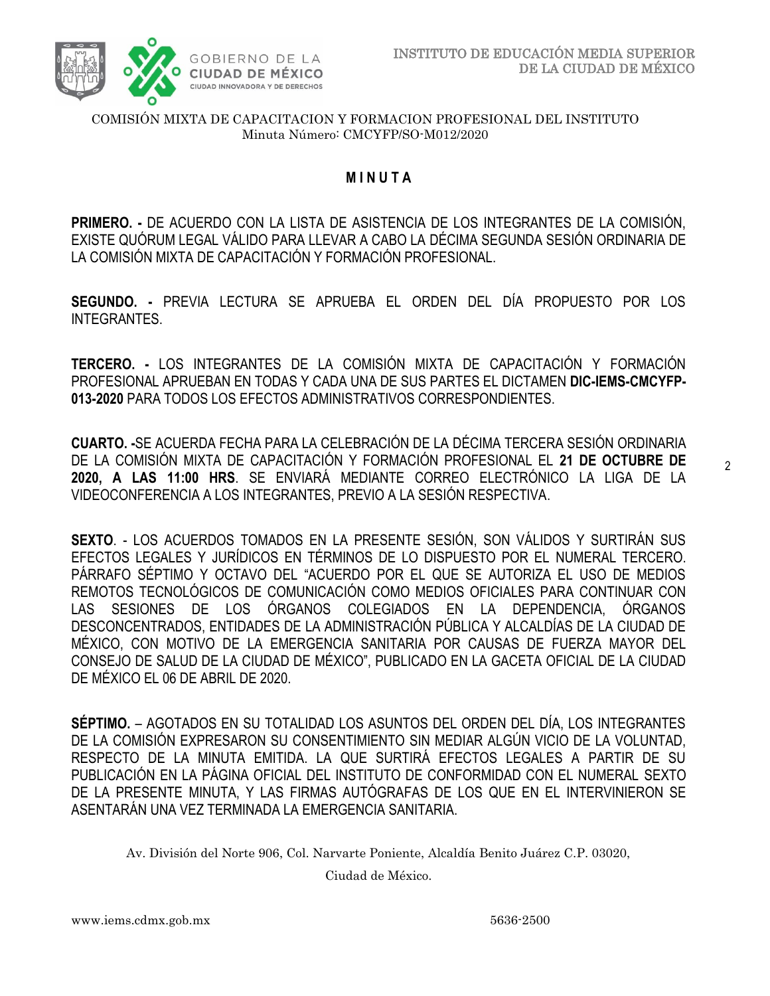

#### COMISIÓN MIXTA DE CAPACITACION Y FORMACION PROFESIONAL DEL INSTITUTO Minuta Número: CMCYFP/SO-M012/2020

# **M I N U T A**

**PRIMERO. -** DE ACUERDO CON LA LISTA DE ASISTENCIA DE LOS INTEGRANTES DE LA COMISIÓN, EXISTE QUÓRUM LEGAL VÁLIDO PARA LLEVAR A CABO LA DÉCIMA SEGUNDA SESIÓN ORDINARIA DE LA COMISIÓN MIXTA DE CAPACITACIÓN Y FORMACIÓN PROFESIONAL.

**SEGUNDO. -** PREVIA LECTURA SE APRUEBA EL ORDEN DEL DÍA PROPUESTO POR LOS INTEGRANTES.

**TERCERO. -** LOS INTEGRANTES DE LA COMISIÓN MIXTA DE CAPACITACIÓN Y FORMACIÓN PROFESIONAL APRUEBAN EN TODAS Y CADA UNA DE SUS PARTES EL DICTAMEN **DIC-IEMS-CMCYFP-013-2020** PARA TODOS LOS EFECTOS ADMINISTRATIVOS CORRESPONDIENTES.

**CUARTO. -**SE ACUERDA FECHA PARA LA CELEBRACIÓN DE LA DÉCIMA TERCERA SESIÓN ORDINARIA DE LA COMISIÓN MIXTA DE CAPACITACIÓN Y FORMACIÓN PROFESIONAL EL **21 DE OCTUBRE DE 2020, A LAS 11:00 HRS**. SE ENVIARÁ MEDIANTE CORREO ELECTRÓNICO LA LIGA DE LA VIDEOCONFERENCIA A LOS INTEGRANTES, PREVIO A LA SESIÓN RESPECTIVA.

**SEXTO**. - LOS ACUERDOS TOMADOS EN LA PRESENTE SESIÓN, SON VÁLIDOS Y SURTIRÁN SUS EFECTOS LEGALES Y JURÍDICOS EN TÉRMINOS DE LO DISPUESTO POR EL NUMERAL TERCERO. PÁRRAFO SÉPTIMO Y OCTAVO DEL "ACUERDO POR EL QUE SE AUTORIZA EL USO DE MEDIOS REMOTOS TECNOLÓGICOS DE COMUNICACIÓN COMO MEDIOS OFICIALES PARA CONTINUAR CON LAS SESIONES DE LOS ÓRGANOS COLEGIADOS EN LA DEPENDENCIA, ÓRGANOS DESCONCENTRADOS, ENTIDADES DE LA ADMINISTRACIÓN PÚBLICA Y ALCALDÍAS DE LA CIUDAD DE MÉXICO, CON MOTIVO DE LA EMERGENCIA SANITARIA POR CAUSAS DE FUERZA MAYOR DEL CONSEJO DE SALUD DE LA CIUDAD DE MÉXICO", PUBLICADO EN LA GACETA OFICIAL DE LA CIUDAD DE MÉXICO EL 06 DE ABRIL DE 2020.

**SÉPTIMO.** – AGOTADOS EN SU TOTALIDAD LOS ASUNTOS DEL ORDEN DEL DÍA, LOS INTEGRANTES DE LA COMISIÓN EXPRESARON SU CONSENTIMIENTO SIN MEDIAR ALGÚN VICIO DE LA VOLUNTAD, RESPECTO DE LA MINUTA EMITIDA. LA QUE SURTIRÁ EFECTOS LEGALES A PARTIR DE SU PUBLICACIÓN EN LA PÁGINA OFICIAL DEL INSTITUTO DE CONFORMIDAD CON EL NUMERAL SEXTO DE LA PRESENTE MINUTA, Y LAS FIRMAS AUTÓGRAFAS DE LOS QUE EN EL INTERVINIERON SE ASENTARÁN UNA VEZ TERMINADA LA EMERGENCIA SANITARIA.

Av. División del Norte 906, Col. Narvarte Poniente, Alcaldía Benito Juárez C.P. 03020,

Ciudad de México.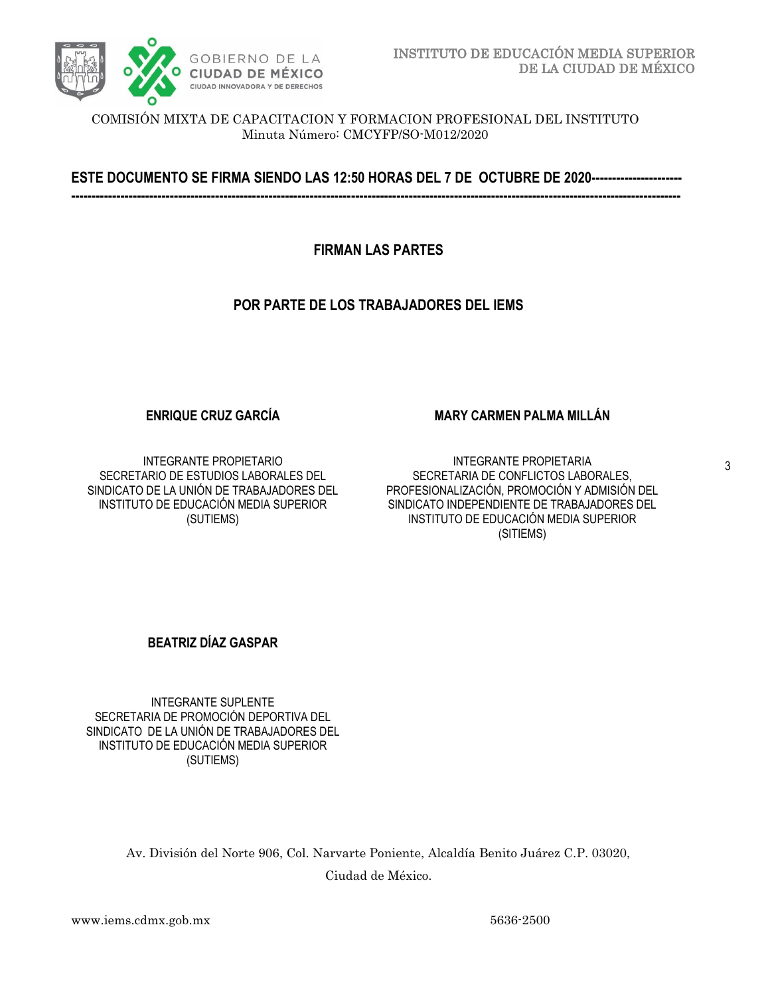

COMISIÓN MIXTA DE CAPACITACION Y FORMACION PROFESIONAL DEL INSTITUTO Minuta Número: CMCYFP/SO-M012/2020

**ESTE DOCUMENTO SE FIRMA SIENDO LAS 12:50 HORAS DEL 7 DE OCTUBRE DE 2020---------------------- ----------------------------------------------------------------------------------------------------------------------------------------------------**

**FIRMAN LAS PARTES**

## **POR PARTE DE LOS TRABAJADORES DEL IEMS**

### **ENRIQUE CRUZ GARCÍA**

INTEGRANTE PROPIETARIO SECRETARIO DE ESTUDIOS LABORALES DEL SINDICATO DE LA UNIÓN DE TRABAJADORES DEL INSTITUTO DE EDUCACIÓN MEDIA SUPERIOR (SUTIEMS)

### **MARY CARMEN PALMA MILLÁN**

INTEGRANTE PROPIETARIA SECRETARIA DE CONFLICTOS LABORALES, PROFESIONALIZACIÓN, PROMOCIÓN Y ADMISIÓN DEL SINDICATO INDEPENDIENTE DE TRABAJADORES DEL INSTITUTO DE EDUCACIÓN MEDIA SUPERIOR (SITIEMS)

### **BEATRIZ DÍAZ GASPAR**

INTEGRANTE SUPLENTE SECRETARIA DE PROMOCIÓN DEPORTIVA DEL SINDICATO DE LA UNIÓN DE TRABAJADORES DEL INSTITUTO DE EDUCACIÓN MEDIA SUPERIOR (SUTIEMS)

> Av. División del Norte 906, Col. Narvarte Poniente, Alcaldía Benito Juárez C.P. 03020, Ciudad de México.